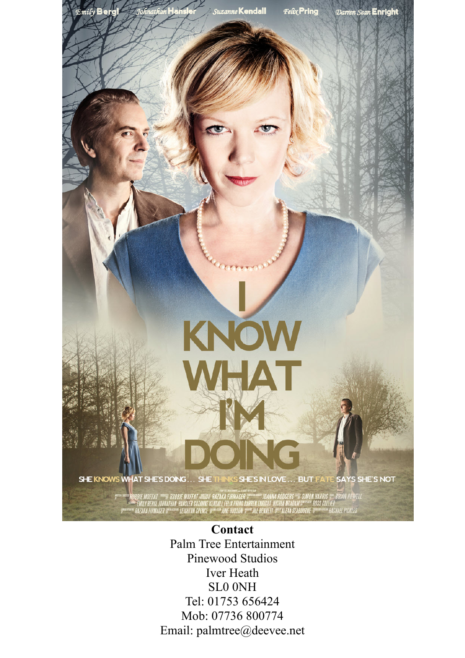

SHE KNOWS WHAT SHE'S DOING... SHE THINKS SHE'S IN LOVE... BUT FATE SAYS SHE'S NOT

KNOW

MHAT

BBIE MOFFAT """ ROBBIE MOFFAT » SES RAZAKA FIRMACER ;<br>"EMILY BERGL JOHNATHAN HANSLER SUZANNE KENDALL FELIX PRING DARREN ENRIGHT NIGOLA MCADAM ;" "ROSS COLLIER<br>RAZAKA FIRMAGER ;" "LEIGHTON SPENCE ;" "JUNE HUDSON ;" "JILL BE RAZAKA FIRMAGER

> **Contact** Palm Tree Entertainment Pinewood Studios Iver Heath SL0 0NH Tel: 01753 656424 Mob: 07736 800774 Email: palmtree@deevee.net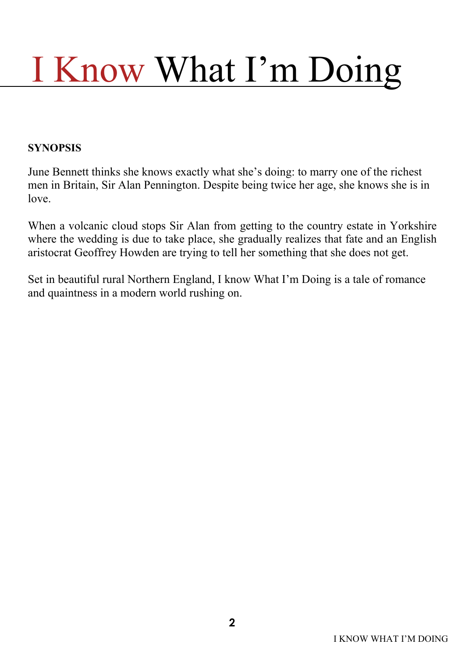#### **SYNOPSIS**

June Bennett thinks she knows exactly what she's doing: to marry one of the richest men in Britain, Sir Alan Pennington. Despite being twice her age, she knows she is in love.

When a volcanic cloud stops Sir Alan from getting to the country estate in Yorkshire where the wedding is due to take place, she gradually realizes that fate and an English aristocrat Geoffrey Howden are trying to tell her something that she does not get.

Set in beautiful rural Northern England, I know What I'm Doing is a tale of romance and quaintness in a modern world rushing on.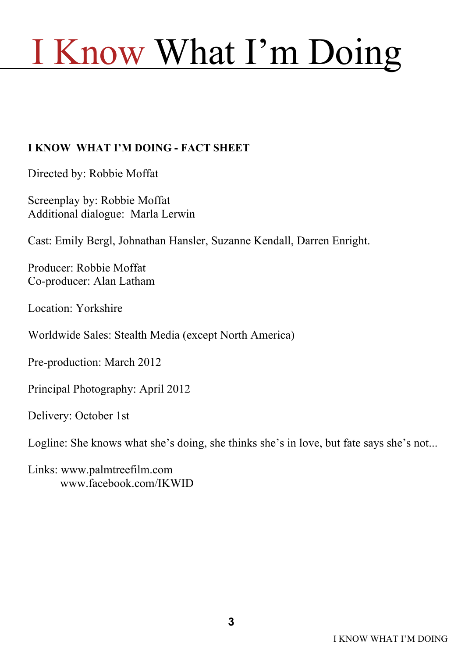#### **I KNOW WHAT I'M DOING - FACT SHEET**

Directed by: Robbie Moffat

Screenplay by: Robbie Moffat Additional dialogue: Marla Lerwin

Cast: Emily Bergl, Johnathan Hansler, Suzanne Kendall, Darren Enright.

Producer: Robbie Moffat Co-producer: Alan Latham

Location: Yorkshire

Worldwide Sales: Stealth Media (except North America)

Pre-production: March 2012

Principal Photography: April 2012

Delivery: October 1st

Logline: She knows what she's doing, she thinks she's in love, but fate says she's not...

Links: www.palmtreefilm.com www.facebook.com/IKWID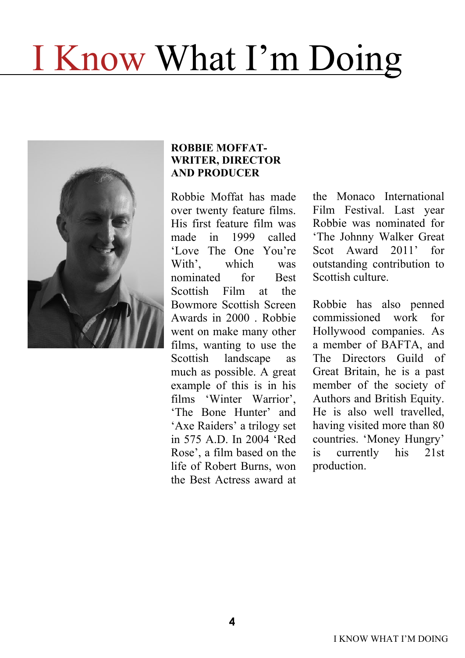

#### **ROBBIE MOFFAT-WRITER, DIRECTOR AND PRODUCER**

Robbie Moffat has made over twenty feature films. His first feature film was made in 1999 called 'Love The One You're With', which was nominated for Best Scottish Film at the Bowmore Scottish Screen Awards in 2000 . Robbie went on make many other films, wanting to use the Scottish landscape as much as possible. A great example of this is in his films 'Winter Warrior', 'The Bone Hunter' and 'Axe Raiders' a trilogy set in 575 A.D. In 2004 'Red Rose', a film based on the life of Robert Burns, won the Best Actress award at

the Monaco International Film Festival. Last year Robbie was nominated for 'The Johnny Walker Great Scot Award 2011' for outstanding contribution to Scottish culture.

Robbie has also penned commissioned work for Hollywood companies. As a member of BAFTA, and The Directors Guild of Great Britain, he is a past member of the society of Authors and British Equity. He is also well travelled, having visited more than 80 countries. 'Money Hungry' is currently his 21st production.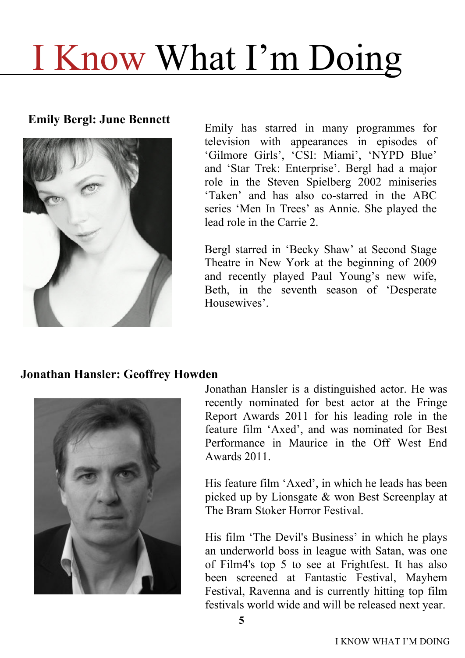**Emily Bergl: June Bennett**



Emily has starred in many programmes for television with appearances in episodes of 'Gilmore Girls', 'CSI: Miami', 'NYPD Blue' and 'Star Trek: Enterprise'. Bergl had a major role in the Steven Spielberg 2002 miniseries 'Taken' and has also co-starred in the ABC series 'Men In Trees' as Annie. She played the lead role in the Carrie 2.

Bergl starred in 'Becky Shaw' at Second Stage Theatre in New York at the beginning of 2009 and recently played Paul Young's new wife, Beth, in the seventh season of 'Desperate Housewives'.

#### **Jonathan Hansler: Geoffrey Howden**



Jonathan Hansler is a distinguished actor. He was recently nominated for best actor at the Fringe Report Awards 2011 for his leading role in the feature film 'Axed', and was nominated for Best Performance in Maurice in the Off West End Awards 2011.

His feature film 'Axed', in which he leads has been picked up by Lionsgate & won Best Screenplay at The Bram Stoker Horror Festival.

His film 'The Devil's Business' in which he plays an underworld boss in league with Satan, was one of Film4's top 5 to see at Frightfest. It has also been screened at Fantastic Festival, Mayhem Festival, Ravenna and is currently hitting top film festivals world wide and will be released next year.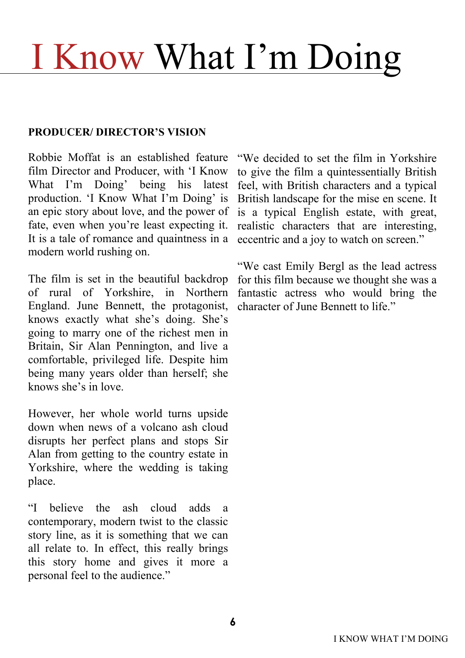#### **PRODUCER/ DIRECTOR'S VISION**

Robbie Moffat is an established feature film Director and Producer, with 'I Know What I'm Doing' being his latest production. 'I Know What I'm Doing' is an epic story about love, and the power of fate, even when you're least expecting it. It is a tale of romance and quaintness in a modern world rushing on.

The film is set in the beautiful backdrop of rural of Yorkshire, in Northern England. June Bennett, the protagonist, knows exactly what she's doing. She's going to marry one of the richest men in Britain, Sir Alan Pennington, and live a comfortable, privileged life. Despite him being many years older than herself; she knows she's in love.

However, her whole world turns upside down when news of a volcano ash cloud disrupts her perfect plans and stops Sir Alan from getting to the country estate in Yorkshire, where the wedding is taking place.

"I believe the ash cloud adds a contemporary, modern twist to the classic story line, as it is something that we can all relate to. In effect, this really brings this story home and gives it more a personal feel to the audience."

"We decided to set the film in Yorkshire to give the film a quintessentially British feel, with British characters and a typical British landscape for the mise en scene. It is a typical English estate, with great, realistic characters that are interesting, eccentric and a joy to watch on screen."

"We cast Emily Bergl as the lead actress for this film because we thought she was a fantastic actress who would bring the character of June Bennett to life."